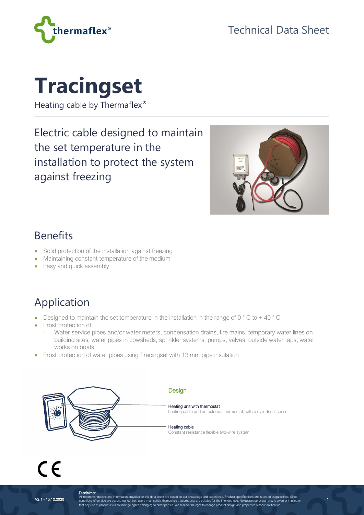

# **Tracingset**

Heating cable by Thermaflex<sup>®</sup>

Electric cable designed to maintain the set temperature in the installation to protect the system against freezing



1

#### Benefits

- Solid protection of the installation against freezing
- Maintaining constant temperature of the medium
- Easy and quick assembly

## Application

- Designed to maintain the set temperature in the installation in the range of  $0^{\circ}$  C to + 40  $^{\circ}$  C
- Frost protection of:
	- Water service pipes and/or water meters, condensation drains, fire mains, temporary water lines on building sites, water pipes in cowsheds, sprinkler systems, pumps, valves, outside water taps, water works on boats
- Frost protection of water pipes using Tracingset with 13 mm pipe insulation



 $C \in$